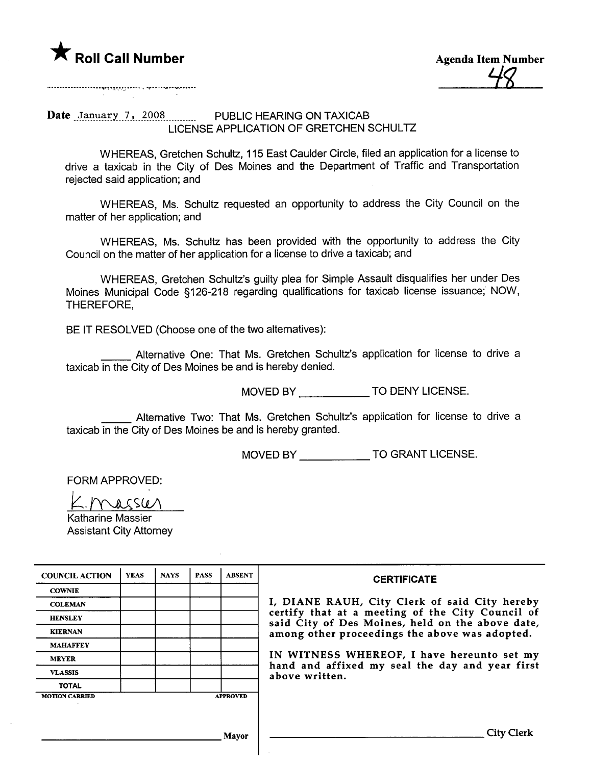

**Agenda Item Number** 

LICENSE APPLICATION OF GRETCHEN SCHULTZ

WHEREAS, Gretchen Schultz, 115 East Caulder Circle, filed an application for a license to drive a taxicab in the City of Des Moines and the Department of Traffic and Transportation rejected said application; and

WHEREAS, Ms. Schultz requested an opportunity to address the City Council on the matter of her application; and

WHEREAS, Ms. Schultz has been provided with the opportunity to address the City Council on the matter of her application for a license to drive a taxicab; and

WHEREAS, Gretchen Schultz's guilty plea for Simple Assault disqualifies her under Des Moines Municipal Code §126-218 regarding qualifications for taxicab license issuance; NOW. THEREFORE,

BE IT RESOLVED (Choose one of the two alternatives):

Alternative One: That Ms. Gretchen Schultz's application for license to drive a taxicab in the City of Des Moines be and is hereby denied.

MOVED BY TO DENY LICENSE.

Alternative Two: That Ms. Gretchen Schultz's application for license to drive a taxicab in the City of Des Moines be and is hereby granted.

MOVED BY TO GRANT LICENSE.

FORM APPROVED:

Knasser

Katharine Massier **Assistant City Attorney** 

| <b>COUNCIL ACTION</b> | <b>YEAS</b> | <b>NAYS</b> | <b>PASS</b> | <b>ABSENT</b>   | <b>CERTIFICATE</b>                                                                                   |
|-----------------------|-------------|-------------|-------------|-----------------|------------------------------------------------------------------------------------------------------|
| <b>COWNIE</b>         |             |             |             |                 |                                                                                                      |
| <b>COLEMAN</b>        |             |             |             |                 | I, DIANE RAUH, City Clerk of said City hereby                                                        |
| <b>HENSLEY</b>        |             |             |             |                 | certify that at a meeting of the City Council of<br>said City of Des Moines, held on the above date, |
| <b>KIERNAN</b>        |             |             |             |                 | among other proceedings the above was adopted.                                                       |
| <b>MAHAFFEY</b>       |             |             |             |                 |                                                                                                      |
| <b>MEYER</b>          |             |             |             |                 | IN WITNESS WHEREOF, I have hereunto set my<br>hand and affixed my seal the day and year first        |
| <b>VLASSIS</b>        |             |             |             |                 | above written.                                                                                       |
| <b>TOTAL</b>          |             |             |             |                 |                                                                                                      |
| <b>MOTION CARRIED</b> |             |             |             | <b>APPROVED</b> |                                                                                                      |
|                       |             |             |             |                 |                                                                                                      |
|                       |             |             |             |                 |                                                                                                      |
|                       |             |             |             | Mavor           | City                                                                                                 |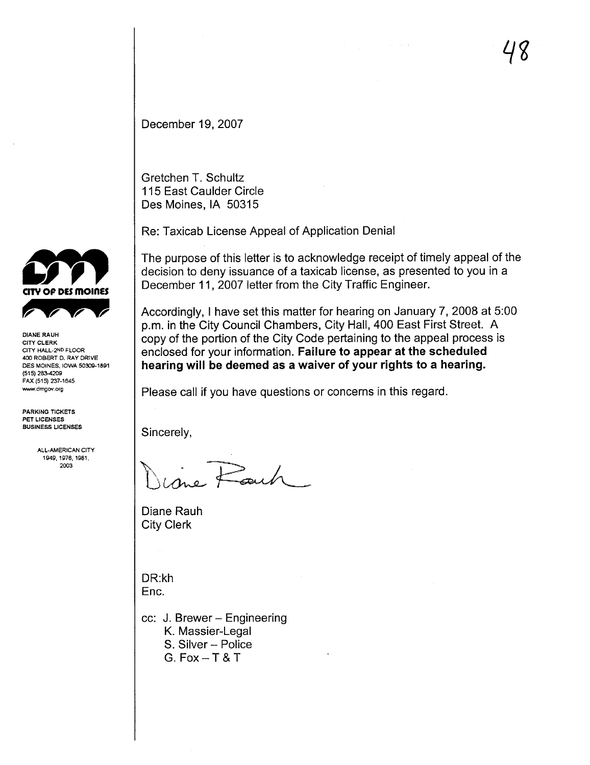December 19, 2007

Gretchen T. Schultz 115 East Caulder Circle Des Moines, IA 50315

Re: Taxicab License Appeal of Application Denial

The purpose of this letter is to acknowledge receipt of timely appeal of the decision to deny issuance of a taxicab license, as presented to you in a December 11, 2007 letter from the City Traffic Engineer.

Accordingly, i have set this matter for hearing on January 7, 2008 at 5:00 p.m. in the City Council Chambers, City Hall, 400 East First Street. A copy of the portion of the City Code pertaining to the appeal process is enclosed for your information. Failure to appear at the scheduled hearing will be deemed as a waiver of your rights to a hearing.

Please call if you have questions or concerns in this regard.

Sincerely,

Pauh

Diane Rauh City Clerk

DR:kh Enc.

cc: J. Brewer - Engineering K. Massier-Legal

- S. Silver Police
- G. Fox  $-$  T & T



CITY CLERK CITY HALL-2ND FLOOR 40 ROBERT D. RAY DRIVE DES MOINES, IOWA 50309-1891 (515) 283-4209 FAX (515) 237-1645 www.dmgov.org

PARKING TICKETS PET LICENSES BUSINESS LICENSES

> ALL.AMERICAN CITY 1949. 1976, 1981, 2003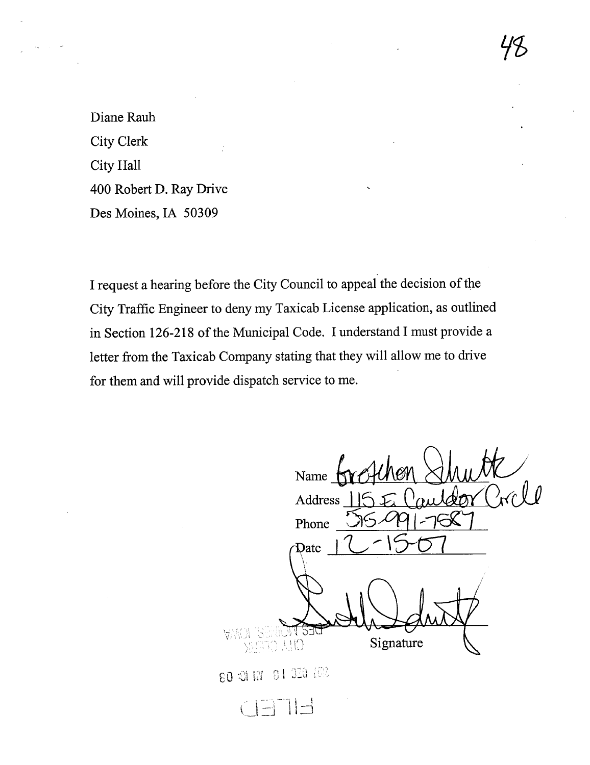Diane Rauh **City Clerk** City Hall 400 Robert D. Ray Drive Des Moines, IA 50309

I request a hearing before the City Council to appeal the decision of the City Traffic Engineer to deny my Taxicab License application, as outlined in Section 126-218 of the Municipal Code. I understand I must provide a letter from the Taxicab Company stating that they will allow me to drive for them and will provide dispatch service to me.

Name  $\bigwedge$ Address Phone Date Signature CILA CIFEER

80 31 IN 91 330 202

CETIE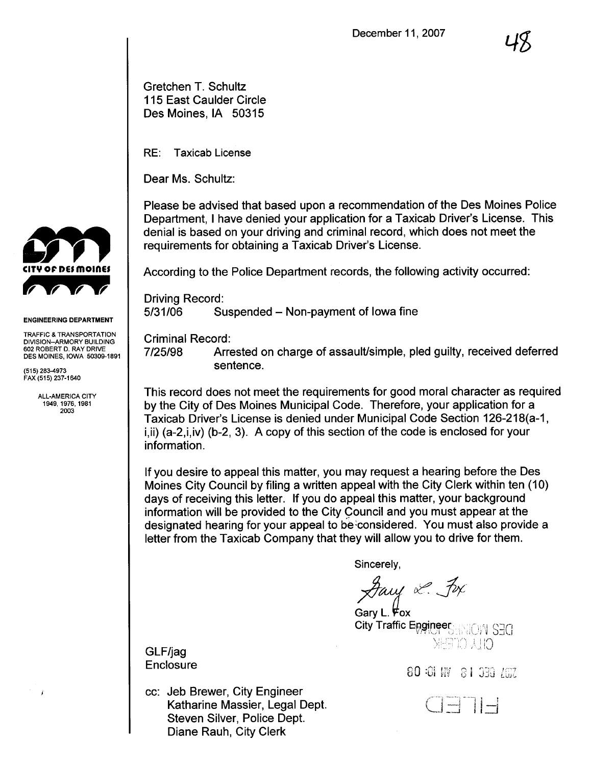Gretchen T. Schultz 115 East Caulder Circle Des Moines, IA 50315

RE: Taxicab License

Dear Ms. Schultz:

Please be advised that based upon a recommendation of the Des Moines Police Department, I have denied your application for a Taxicab Driver's License. This denial is based on your driving and criminal record, which does not meet the requirements for obtaining a Taxicab Driver's License.

According to the Police Department records, the following activity occurred:

Driving Record: 5/31/06 Suspended – Non-payment of Iowa fine

Criminal Record:

7/25/98 Arrested on charge of assault/simple, pled guilty, received deferred sentence.

This record does not meet the requirements for good moral character as required by the City of Des Moines Municipal Code. Therefore, your application for a Taxicab Driver's License is denied under Municipal Code Section 126-218(a-1, i,ii) (a-2,i,iv) (b-2, 3). A copy of this section of the code is enclosed for your information.

If you desire to appeal this matter, you may request a hearing before the Des Moines City Council by filing a written appeal with the City Clerk within ten (10) days of receiving this letter. If you do appeal this matter, your background information will be provided to the City Council and you must appear at the designated hearing for your appeal to be considered. You must also provide a letter from the Taxicab Company that they will allow you to drive for them.

Sincerely,

Facy L. Fox

Gary L.  $\forall$ ox City Traffic Engineer XHETO 시IO

Enclosure O .j 'I ;"J i\ l co 4-n\_~ ,nJ ;"1 "', 1;;'1 ".,.-





ENGINEERING DEPARTMENT

TRAFFIC & TRANSPORTATION DIVISION-ARMORY BUILDING 602 ROBERT D. RAY DRIVE DES MOINES, IOWA 50309-1891

(515) 283-4973 FAX (515) 237-1640

 $\overline{1}$ 

ALL-AMERICA CITY 1949, 1976, 1981 2003

GLF/jag

cc: Jeb Brewer, City Engineer Katharine Massier, Legal Dept. Steven Silver, Police Dept. Diane Rauh, City Clerk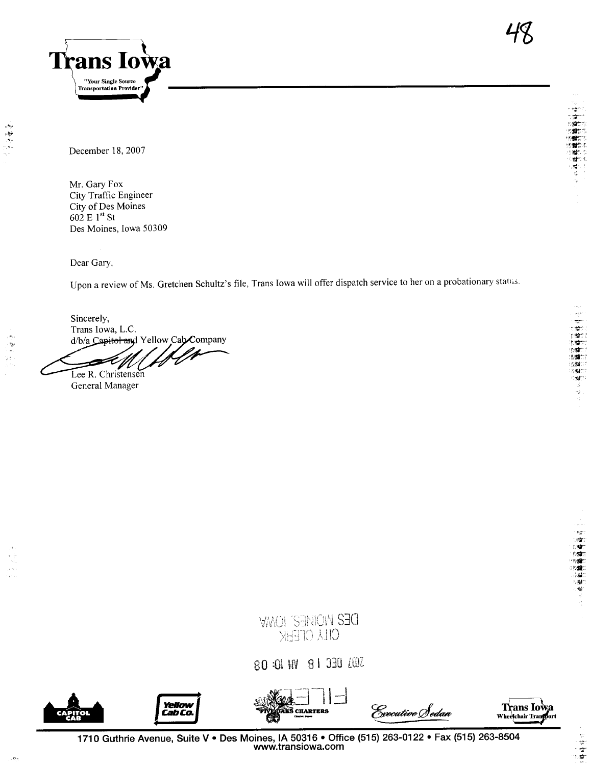

(物語論推検を))<br>(機構維検を)

 $\frac{1}{16}$ 

December 18, 2007

一般 一般

 $\sim$ 

Mr. Gary Fox City Traffic Engineer City of Des Moines 602 E 1st St Des Moines, Iowa 50309

Dear Gary,

Upon a review of Ms. Gretchen Schultz's file, Trans Iowa will offer dispatch service to her on a probationary status.

Sincerely, Trans Iowa, L.C. d/b/a Capitol and Yellow Cab Company

Lee R. Christensen

General Manager



SO :01 NV 8 1 330 ZOZ







Executive Sedan

1710 Guthrie Avenue, Suite V · Des Moines, IA 50316 · Office (515) 263-0122 · Fax (515) 263-8504 www.transiowa.com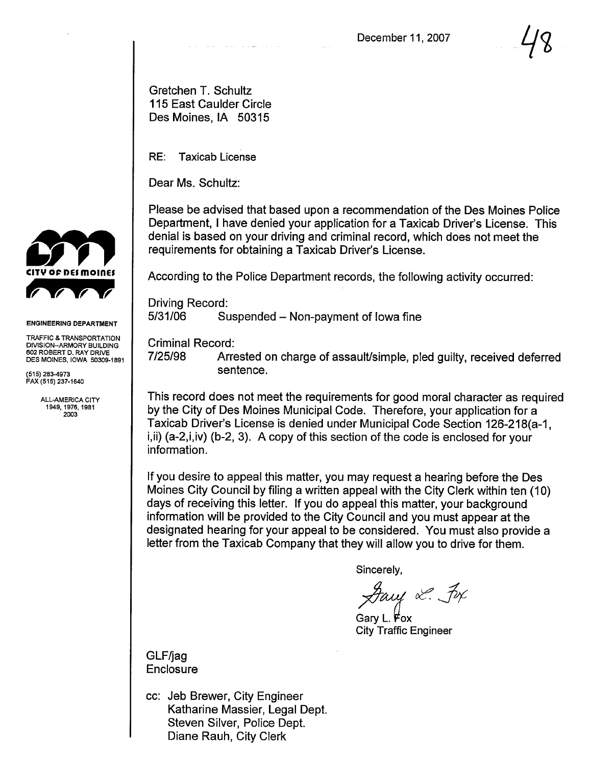$\mathcal{U}$ 

Gretchen T. Schultz 115 East Caulder Circle Des Moines, IA 50315

RE: Taxicab License

Dear Ms. Schultz:

Please be advised that based upon a recommendation of the Des Moines Police Department, I have denied your application for a Taxicab Driver's License. This denial is based on your driving and criminal record, which does not meet the requirements for obtaining a Taxicab Driver's License.

According to the Police Department records, the following activity occurred:

Driving Record: 5/31/06 Suspended - Non-payment of Iowa fine

Criminal Record:

7/25/98 Arrested on charge of assault/simple, pled guilty, received deferred sentence.

This record does not meet the requirements for good moral character as required by the City of Des Moines Municipal Code. Therefore, your application for a Taxicab Driver's License is denied under Municipal Code Section 126-218(a-1, i,ii) (a-2,i,iv) (b-2, 3). A copy of this section of the code is enclosed for your information.

If you desire to appeal this matter, you may request a hearing before the Des Moines City Council by filng a written appeal with the City Clerk within ten (10) days of receiving this letter. If you do appeal this matter, your background information will be provided to the City Council and you must appear at the designated hearing for your appeal to be considered. You must also provide a letter from the Taxicab Company that they will allow you to drive for them.

Sincerely,

Facy & Fox

Gary L.  $F$ ox **City Traffic Engineer** 

GLF/jag Enclosure

cc: Jeb Brewer, City Engineer Katharine Massier, Legal Dept. Steven Silver, Police Dept. Diane Rauh, City Clerk



## ENGINEERING DEPARTMENT

TRAFFIC & TRANSPORTATION DIVISION-ARMORY BUILDING 602 ROBERT D. RAY DRIVE DES MOINES, IOWA 50309-1891

(515) 283-973 FAX (515) 237-164

> ALL-AMERICA CITY 1949,1976,1981 2003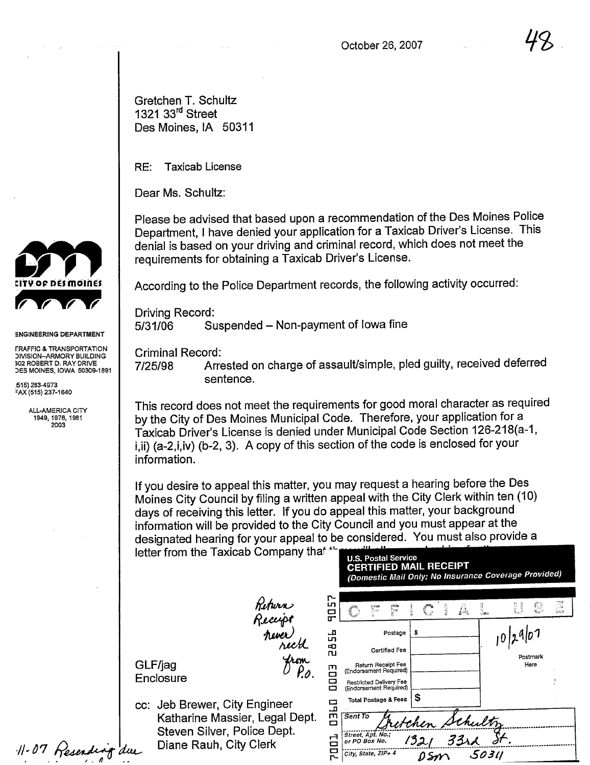Gretchen T. Schultz 1321 33<sup>rd</sup> Street Des Moines, IA 50311

RE: Taxicab License

Dear Ms. Schultz:

Please be advised that based upon a recommendation of the Des Moines Police Department, I have denied your application for a Taxicab Driver's License. This denial is based on your driving and criminal record, which does not meet the requirements for obtaining a Taxicab Driver's License.

According to the Police Department records, the following activity occurred:

Driving Record: 5/31/06 Suspended – Non-payment of Iowa fine

Criminal Record:

7/25/98 Arrested on charge of assault/simple, pled guilty, received deferred sentence.

This record does not meet the requirements for good moral character as required by the City of Des Moines Municipal Code. Therefore, your application for a Taxicab Driver's License is denied under Municipal Code Section 126-218(a-1, i, ii) (a-2, i, iv) (b-2, 3). A copy of this section of the code is enclosed for your information.

If you desire to appeal this matter, you may request a hearing before the Des Moines City Council by filing a written appeal with the City Clerk within ten (10) days of receiving this letter. If you do appeal this matter, your background information will be provided to the City Council and you must appear at the designated hearing for your appeal to be considered. You must also provide a letter from the Taxicab Company that " U.S. Postal Service

> Return<br>Reccipt<br>never<br>prox never)<br>recht<br>from

> > P.b.

GLF/jag **Enclosure** 

cc: Jeb Brewer, City Engineer Katharine Massier, Legal Dept. Steven Silver, Police Dept. Diane Rauh, City Clerk

| ր<br>տ              |                                                                                                   |                          |                  |               |  |                                               |              |    |           |
|---------------------|---------------------------------------------------------------------------------------------------|--------------------------|------------------|---------------|--|-----------------------------------------------|--------------|----|-----------|
| 뮤                   | nas<br>4                                                                                          | enum<br> <br> }          | A Children       | <b>ROLLEY</b> |  | î.                                            | <b>Compa</b> | C, | G<br>Sec. |
| 品<br>Ф<br><b>ru</b> |                                                                                                   | Postage<br>Certified Fee | \$               |               |  |                                               | 10 29 07     |    |           |
| 0003                | Return Receipt Fee<br>(Endorsement Required)<br>Restricted Delivery Fee<br>(Endorsement Required) |                          | Postmark<br>Here |               |  |                                               |              |    |           |
| <b>UJED</b>         | Total Postage & Fees<br>Sent To                                                                   |                          | \$               |               |  |                                               |              |    |           |
| <b>LOD2</b>         | Street, Apt. No.;<br>or PO Box No.<br>City, State, ZIP+ 4                                         |                          |                  |               |  | <u>tchen</u> Schultz<br>1321 33rd St<br>50311 |              |    |           |

(Domestic Mail Only; No Insurance Coverage Provided)

CERTIFIED MAIL RECEIPT

 $11.07$  Reserving due



:NGINEERING DEPARTMENT

I RAFFIC & TRANSPORTATION<br>DIVISION-ARMORY BUILDING 302 ROBERT D. RAY DRIVE )ES MOINES, IOWA 50309-1891

.515) 283-4973  $-X(515)$  237-1640

> ALL-AMERICA CITY 1949, 1976, 1981 2003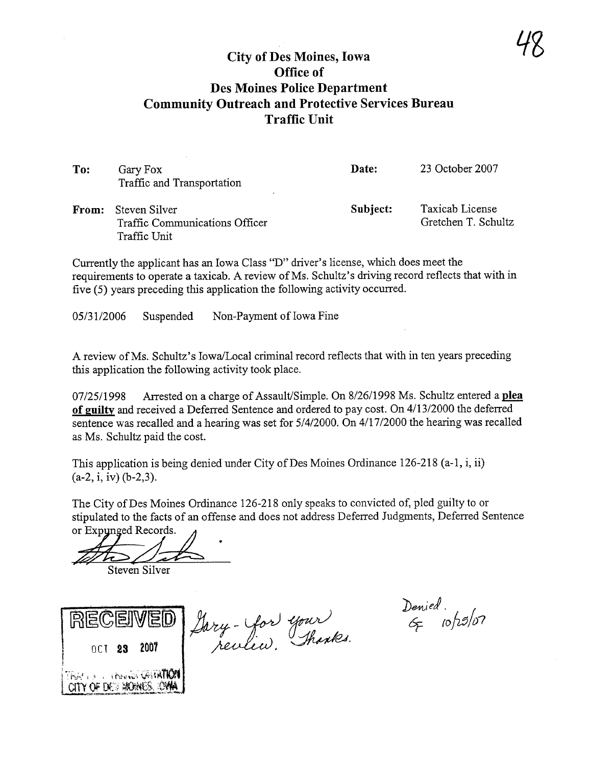## City of Des Moines, Iowa Office of Des Moines Police Department Community Outreach and Protective Services Bureau Traffic Unit

| To:   | Gary Fox<br>Traffic and Transportation                          | Date:    | 23 October 2007                        |
|-------|-----------------------------------------------------------------|----------|----------------------------------------|
| From: | Steven Silver<br>Traffic Communications Officer<br>Traffic Unit | Subject: | Taxicab License<br>Gretchen T. Schultz |

Currently the applicant has an Iowa Class "D" driver's license, which does meet the requirements to operate a taxicab. A review of Ms. Schultz's driving record reflects that with in five (5) years preceding this application the following activity occured.

05/31/2006 Suspended Non-Payment of Iowa Fine

A review of Ms. Schultz's Iowa/Local criminal record reflects that with in ten years preceding this application the following activity took place.

07/25/1998 Arrested on a charge of Assault/Simple. On 8/26/1998 Ms. Schultz entered a plea of guilty and received a Deferred Sentence and ordered to pay cost. On 4/13/2000 the deferred sentence was recalled and a hearing was set for  $5/4/2000$ . On  $4/17/2000$  the hearing was recalled as Ms. Schultz paid the cost.

This application is being denied under City of Des Moines Ordinance 126-218 (a-I, i, ii) (a-2, i, iv) (b-2,3).

The City of Des Moines Ordinance 126-218 only speaks to convicted of, pled guilty to or stipulated to the facts of an offense and does not address Deferred Judgments, Deferred Sentence or Expunged Records.<br>
Steven Silver

SCEIVED Jary-Yor  $RECEIVED$   $f_{ary}$  - you your  $\epsilon_{p}$  (0/13/07 TRAN A LITERAL GATA  $C\Gamma\Gamma\gamma'$  of the signals.

Denied<br>G 10/25/07

78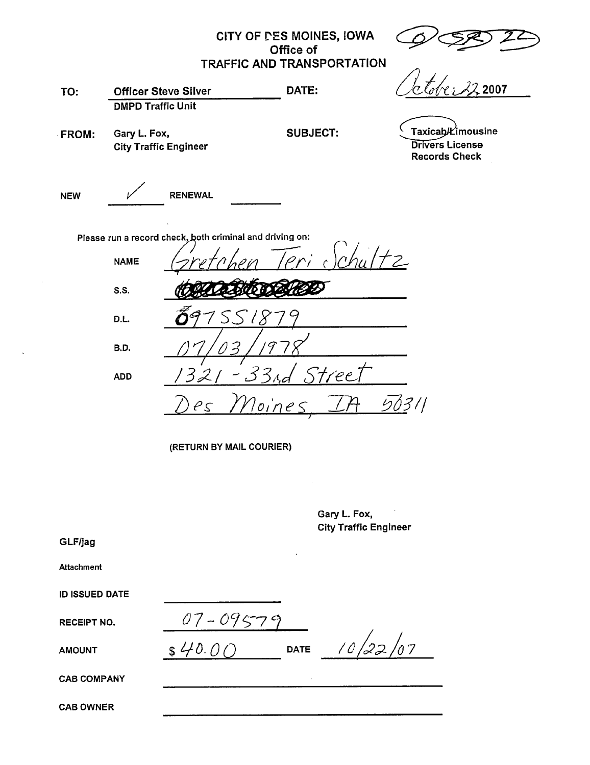|                       |                                                         |                          | CITY OF DES MOINES, IOWA<br>Office of                    |                                              |                                                                     |  |  |  |  |
|-----------------------|---------------------------------------------------------|--------------------------|----------------------------------------------------------|----------------------------------------------|---------------------------------------------------------------------|--|--|--|--|
|                       |                                                         |                          | <b>TRAFFIC AND TRANSPORTATION</b>                        |                                              |                                                                     |  |  |  |  |
| TO:                   | <b>Officer Steve Silver</b><br><b>DMPD Traffic Unit</b> |                          | DATE:                                                    |                                              | 2007                                                                |  |  |  |  |
| FROM:                 | Gary L. Fox,<br><b>City Traffic Engineer</b>            |                          | <b>SUBJECT:</b>                                          |                                              | Taxicab/Limousine<br><b>Drivers License</b><br><b>Records Check</b> |  |  |  |  |
| <b>NEW</b>            |                                                         | <b>RENEWAL</b>           |                                                          |                                              |                                                                     |  |  |  |  |
|                       |                                                         |                          | Please run a record check, both criminal and driving on: |                                              |                                                                     |  |  |  |  |
|                       | <b>NAME</b>                                             |                          |                                                          |                                              |                                                                     |  |  |  |  |
|                       | <b>S.S.</b>                                             |                          |                                                          |                                              |                                                                     |  |  |  |  |
|                       | D.L.                                                    |                          |                                                          |                                              |                                                                     |  |  |  |  |
|                       | B.D.                                                    |                          |                                                          |                                              |                                                                     |  |  |  |  |
|                       | <b>ADD</b>                                              | 321                      | $-33$ <sub>Ad</sub><br>Stree                             |                                              |                                                                     |  |  |  |  |
|                       |                                                         | $\rho_{\mathcal{S}}$     | 50311<br><u>Noine:</u>                                   |                                              |                                                                     |  |  |  |  |
|                       |                                                         | (RETURN BY MAIL COURIER) |                                                          |                                              |                                                                     |  |  |  |  |
|                       |                                                         |                          |                                                          |                                              |                                                                     |  |  |  |  |
|                       |                                                         |                          |                                                          | Gary L. Fox,<br><b>City Traffic Engineer</b> |                                                                     |  |  |  |  |
| GLF/jag               |                                                         |                          |                                                          |                                              |                                                                     |  |  |  |  |
| <b>Attachment</b>     |                                                         |                          |                                                          |                                              |                                                                     |  |  |  |  |
| <b>ID ISSUED DATE</b> |                                                         |                          |                                                          |                                              |                                                                     |  |  |  |  |
| <b>RECEIPT NO.</b>    |                                                         | $07 - 09579$             |                                                          |                                              |                                                                     |  |  |  |  |
| <b>AMOUNT</b>         |                                                         | \$40.00                  | <b>DATE</b>                                              |                                              | $\!\!/_0$ 7                                                         |  |  |  |  |

 $\ddot{\phantom{a}}$ 

**CAB COMPANY** 

**CAB OWNER**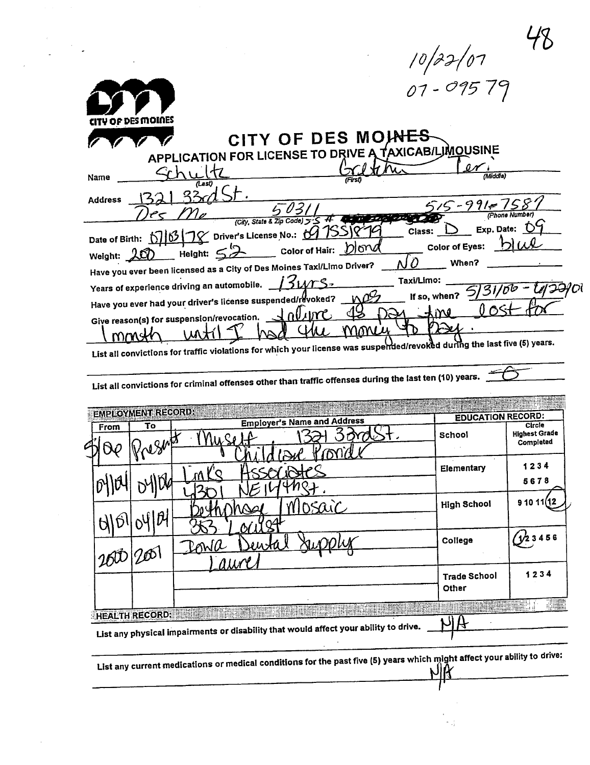| 1 v p x 1 v 1<br>07 - 095 79<br>ITY OF DES MOINES                                                                                                                                                                        |                |
|--------------------------------------------------------------------------------------------------------------------------------------------------------------------------------------------------------------------------|----------------|
| CITY OF DES MOINES<br>APPLICATION FOR LICENSE TO DRIVE A TAXICAB/LJMOUSINE                                                                                                                                               |                |
| (Middle)<br>Name                                                                                                                                                                                                         |                |
| <b>Address</b><br>$5 - 991 - 75$<br>(City, State & Zip Code) 5-5<br>Exp. Date:<br>Class:                                                                                                                                 | (Phone Number) |
| Date of Birth: 016178 Driver's License No.: 0<br><b>Color of Eyes:</b><br>Color of Hair: <b>D</b> ond<br>Height: $\leq$<br>Weight: 200<br>When?<br>Have you ever been licensed as a City of Des Moines Taxi/Limo Driver? |                |
| Taxi/Limo:<br>Years of experience driving an automobile.<br>If so, when?<br>Have you ever had your driver's license suspended/revoked?                                                                                   |                |
| nuinc<br>Give reason(s) for suspension/revocation.<br>List all convictions for traffic violations for which your license was susperded/revoked during the last five (5) years.                                           |                |

| List all convictions for criminal offenses other than traffic offenses during the last ten (10) years. |  |
|--------------------------------------------------------------------------------------------------------|--|
|                                                                                                        |  |

|      | <b>EMPLOYMENT RECORD:</b> | <b>Employer's Name and Address</b> | <b>EDUCATION RECORD:</b>     |                                             |
|------|---------------------------|------------------------------------|------------------------------|---------------------------------------------|
| From | То<br>1910                |                                    | School                       | Circle<br><b>Highest Grade</b><br>Completed |
|      |                           |                                    | Elementary                   | 1234<br>5678                                |
|      | ĥ                         | S                                  | <b>High School</b>           | 91011                                       |
|      | 760                       | Rowa<br><i>ALLAY</i>               | College                      | 156                                         |
|      |                           |                                    | <b>Trade School</b><br>Other | 1234                                        |

List any current medications or medical conditions for the past five (5) years which might affect your ability to drive:

 $\mathcal{L}^{\mathcal{L}}$ 

T

ki ji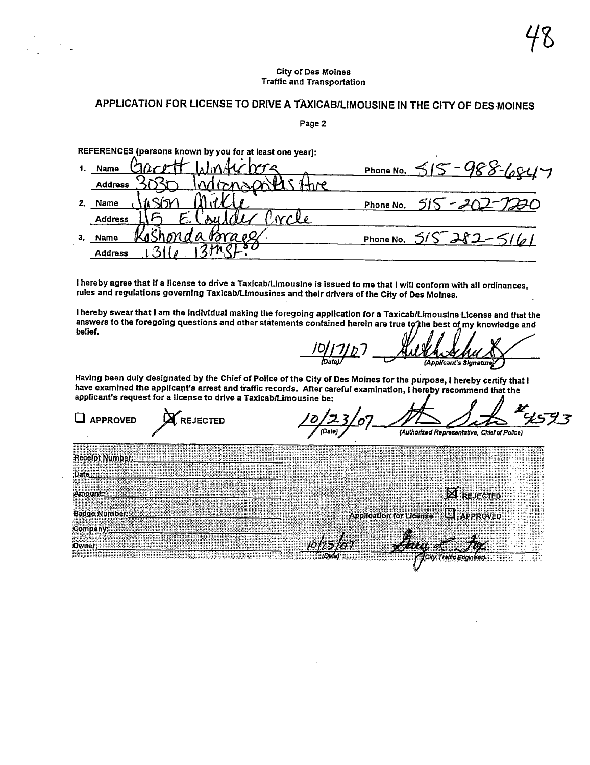## **City of Des Moines Traffic and Transportation**

## APPLICATION FOR LICENSE TO DRIVE A TAXICAB/LIMOUSINE IN THE CITY OF DES MOINES

Page 2

REFERENCES (persons known by you for at least one year):

|    | $h$ acott Windichera<br>Name    | Phone No. $515 - 988 - 681 -$         |
|----|---------------------------------|---------------------------------------|
|    | adons and the<br><b>Address</b> |                                       |
| 2. | Name                            | $515 - 202 - 7220$<br>Phone No.       |
|    | N<br><b>Address</b>             |                                       |
| 3. | <u>sshondabraes</u><br>Name     | $515 - 382 - 51$<br>1/a1<br>Phone No. |
|    | <b>Address</b>                  |                                       |

I hereby agree that if a license to drive a Taxicab/Limousine is issued to me that I will conform with all ordinances, rules and regulations governing Taxicab/Limousines and their drivers of the City of Des Moines.

I hereby swear that I am the individual making the foregoing application for a Taxicab/Limousine License and that the answers to the foregoing questions and other statements contained herein are true to the best of my knowledge and belief.

(Applicant's Signature)

Having been duly designated by the Chief of Police of the City of Des Moines for the purpose, I hereby certify that I have examined the applicant's arrest and traffic records. After careful examination, I hereby recommend that the applicant's request for a license to drive a Taxicab/Limousine be: 0 Л

| <b>ROVED</b><br><b>REJECTED</b>                                                                                                                                                                                                                                                                                                                   | (Authorized Representative, Chief of Police)                                                                                                                                                                                                   |
|---------------------------------------------------------------------------------------------------------------------------------------------------------------------------------------------------------------------------------------------------------------------------------------------------------------------------------------------------|------------------------------------------------------------------------------------------------------------------------------------------------------------------------------------------------------------------------------------------------|
|                                                                                                                                                                                                                                                                                                                                                   | lpt Number 1999 - 1999 - 1999 - 1999 - 1999 - 1999 - 1999 - 1999 - 1999 - 1999 - 1999 - 1999 - 1999 - 1999 - 1                                                                                                                                 |
|                                                                                                                                                                                                                                                                                                                                                   | <u>. I The Mississippine and the second second and the second second second and second second second second second</u><br><u> 1968 - 1969 - 1969 - 1969 - 1969 - 1969 - 1969 - 1969 - 1969 - 1969 - 1969 - 1969 - 1969 - 1969 - 1969 - 196</u> |
| mounts and the second contract of the contract of the contract of the contract of the contract of the contract of                                                                                                                                                                                                                                 | <b>ANDROID</b><br><br>$\mathbf{M}$ rejected $\blacksquare$                                                                                                                                                                                     |
|                                                                                                                                                                                                                                                                                                                                                   | Badge Number: New York (New York of Application for License & D. APPROVED<br><b>APPROVED</b>                                                                                                                                                   |
| any. <u>A construction of the second part</u> icle and a second particle of the second particle and a second particle                                                                                                                                                                                                                             | <br><br>. . <b>.</b> . <b>.</b> .<br>. <b>.</b> .<br>.<br><br><br>.<br><br>. <i>. .</i><br><br>. <b>. .</b> . <b>.</b><br>                                                                                                                     |
| $\frac{1}{\sqrt{2}}$ , where $\frac{1}{\sqrt{2}}$ , $\frac{1}{\sqrt{2}}$ , $\frac{1}{\sqrt{2}}$ , $\frac{1}{\sqrt{2}}$ , $\frac{1}{\sqrt{2}}$ , $\frac{1}{\sqrt{2}}$ , $\frac{1}{\sqrt{2}}$ , $\frac{1}{\sqrt{2}}$ , $\frac{1}{\sqrt{2}}$ , $\frac{1}{\sqrt{2}}$ , $\frac{1}{\sqrt{2}}$ , $\frac{1}{\sqrt{2}}$ , $\frac{1}{\sqrt{2}}$ , $\frac{1$ | . <b>.</b><br>.<br>1.1.1.1<br>.<br><u>ress</u><br>                                                                                                                                                                                             |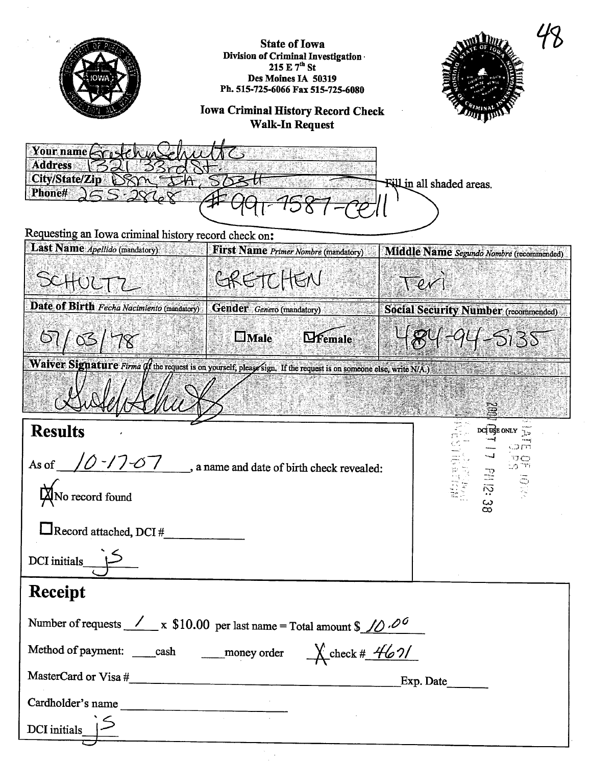| <b>State of Iowa</b><br>Division of Criminal Investigation<br>215 E 7 <sup>th</sup> St<br>Des Moines IA 50319<br>Ph. 515-725-6066 Fax 515-725-6080<br><b>Iowa Criminal History Record Check</b><br><b>Walk-In Request</b> |
|---------------------------------------------------------------------------------------------------------------------------------------------------------------------------------------------------------------------------|
| Your name $\mu$<br><b>Address</b><br><b>City/State/Zip</b><br>Fill in all shaded areas.<br><b>Phone#</b>                                                                                                                  |
| Requesting an Iowa criminal history record check on:                                                                                                                                                                      |
| Last Name Apellido (mandatory)<br>First Name Primer Nombre (mandatory)<br>Middle Name Segundo Nombre (recommended)<br>GRETCHEN<br>SCHULTZ                                                                                 |
| Date of Birth Fecha Nacimiento (mandatory)<br>Gender Genero (mandatory)<br><b>Social Security Number</b> (recommended)<br>$R4 - 94 - 5135$<br><b>Male</b><br><b>Lifemale</b><br>67/03/78                                  |
| Waiver Signature Firma (f the request is on yourself; please sign. If the request is on someone else, write $N(A)$                                                                                                        |
| <b>Results</b><br>DCI USE ONLY                                                                                                                                                                                            |
| $\sqrt{0}$ -/ $7$ - $\sqrt{7}$ , a name and date of birth check revealed:<br>್ಲಿ ಪ್ರದ<br>As of<br>PH 12:31<br><b>X</b> No record found                                                                                    |
| Record attached, DCI #                                                                                                                                                                                                    |
| DCI initials_                                                                                                                                                                                                             |
| Receipt                                                                                                                                                                                                                   |
| Number of requests $\angle x$ \$10.00 per last name = Total amount \$ $\angle 0.00$                                                                                                                                       |
| Method of payment: ____cash ______money order $\qquad \qquad \text{Check} \# \# \text{6.21}$                                                                                                                              |
|                                                                                                                                                                                                                           |
| Cardholder's name                                                                                                                                                                                                         |
| DCI initials                                                                                                                                                                                                              |
|                                                                                                                                                                                                                           |

 $\mathcal{A}$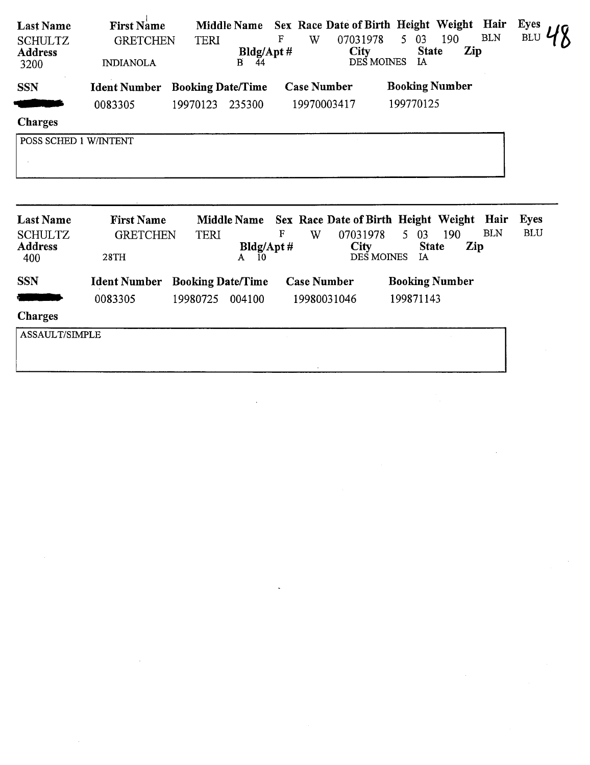| <b>Last Name</b><br><b>SCHULTZ</b><br><b>Address</b><br>3200 | <b>First Name</b><br><b>GRETCHEN</b><br><b>INDIANOLA</b> | <b>TERI</b>              | <b>Middle Name</b><br>Bldg/Apt #<br>B.<br>44 | F<br>W             | Sex Race Date of Birth Height Weight Hair<br>07031978<br>City<br>DES MOINES | 5 <sup>7</sup><br>03<br><b>State</b><br>IA | 190<br>Zip | <b>BLN</b>         | <b>Eyes</b><br>BLU        |
|--------------------------------------------------------------|----------------------------------------------------------|--------------------------|----------------------------------------------|--------------------|-----------------------------------------------------------------------------|--------------------------------------------|------------|--------------------|---------------------------|
| <b>SSN</b>                                                   | <b>Ident Number</b>                                      | <b>Booking Date/Time</b> |                                              | <b>Case Number</b> |                                                                             | <b>Booking Number</b>                      |            |                    |                           |
|                                                              | 0083305                                                  | 19970123                 | 235300                                       | 19970003417        |                                                                             | 199770125                                  |            |                    |                           |
| <b>Charges</b>                                               |                                                          |                          |                                              |                    |                                                                             |                                            |            |                    |                           |
| POSS SCHED 1 W/INTENT                                        |                                                          |                          |                                              |                    |                                                                             |                                            |            |                    |                           |
|                                                              |                                                          |                          |                                              |                    |                                                                             |                                            |            |                    |                           |
|                                                              |                                                          |                          |                                              |                    |                                                                             |                                            |            |                    |                           |
| <b>Last Name</b>                                             | <b>First Name</b>                                        |                          | <b>Middle Name</b>                           | F                  | Sex Race Date of Birth Height Weight                                        |                                            |            | Hair<br><b>BLN</b> | <b>Eyes</b><br><b>BLU</b> |
| <b>SCHULTZ</b><br><b>Address</b><br>400                      | <b>GRETCHEN</b><br>28TH                                  | <b>TERI</b>              | Bldg/Apt#<br>10<br>A                         | W                  | 07031978<br>City<br>DES MOINES                                              | 5<br>03<br><b>State</b><br><b>IA</b>       | 190<br>Zip |                    |                           |
| <b>SSN</b>                                                   | <b>Ident Number</b>                                      | <b>Booking Date/Time</b> |                                              | <b>Case Number</b> |                                                                             | <b>Booking Number</b>                      |            |                    |                           |
|                                                              | 0083305                                                  | 19980725                 | 004100                                       | 19980031046        |                                                                             | 199871143                                  |            |                    |                           |
| <b>Charges</b>                                               |                                                          |                          |                                              |                    |                                                                             |                                            |            |                    |                           |
| <b>ASSAULT/SIMPLE</b>                                        |                                                          |                          |                                              |                    |                                                                             |                                            |            |                    |                           |

 $\label{eq:2.1} \frac{1}{\sqrt{2}}\int_{\mathbb{R}^3}\frac{1}{\sqrt{2}}\left(\frac{1}{\sqrt{2}}\right)^2\frac{1}{\sqrt{2}}\left(\frac{1}{\sqrt{2}}\right)^2\frac{1}{\sqrt{2}}\left(\frac{1}{\sqrt{2}}\right)^2\frac{1}{\sqrt{2}}\left(\frac{1}{\sqrt{2}}\right)^2.$ 

 $\label{eq:2.1} \frac{1}{\sqrt{2}}\int_{\mathbb{R}^3}\frac{1}{\sqrt{2}}\left(\frac{1}{\sqrt{2}}\right)^2\frac{1}{\sqrt{2}}\left(\frac{1}{\sqrt{2}}\right)^2\frac{1}{\sqrt{2}}\left(\frac{1}{\sqrt{2}}\right)^2\frac{1}{\sqrt{2}}\left(\frac{1}{\sqrt{2}}\right)^2\frac{1}{\sqrt{2}}\left(\frac{1}{\sqrt{2}}\right)^2\frac{1}{\sqrt{2}}\left(\frac{1}{\sqrt{2}}\right)^2\frac{1}{\sqrt{2}}\left(\frac{1}{\sqrt{2}}\right)^2\frac{1}{\sqrt{$ 

 $\label{eq:2.1} \frac{1}{\sqrt{2}}\int_{\mathbb{R}^3}\frac{1}{\sqrt{2}}\left(\frac{1}{\sqrt{2}}\right)^2\frac{1}{\sqrt{2}}\left(\frac{1}{\sqrt{2}}\right)^2\frac{1}{\sqrt{2}}\left(\frac{1}{\sqrt{2}}\right)^2\frac{1}{\sqrt{2}}\left(\frac{1}{\sqrt{2}}\right)^2.$ 

I ASSAULT TURE DE L'ANGER DE L'ANGER DE L'ANGER DE L'ANGER DE L'ANGER DE L'ANGER DE L'ANGER DE L'ANGER DE L'ANG

 $\label{eq:2.1} \mathcal{L}(\mathcal{L}^{\text{max}}_{\mathcal{L}}(\mathcal{L}^{\text{max}}_{\mathcal{L}}(\mathcal{L}^{\text{max}}_{\mathcal{L}}(\mathcal{L}^{\text{max}}_{\mathcal{L}^{\text{max}}_{\mathcal{L}}(\mathcal{L}^{\text{max}}_{\mathcal{L}^{\text{max}}_{\mathcal{L}^{\text{max}}_{\mathcal{L}^{\text{max}}_{\mathcal{L}^{\text{max}}_{\mathcal{L}^{\text{max}}_{\mathcal{L}^{\text{max}}_{\mathcal{L}^{\text{max}}_{\mathcal{L}^{\text{max}}$ 

 $\sim$